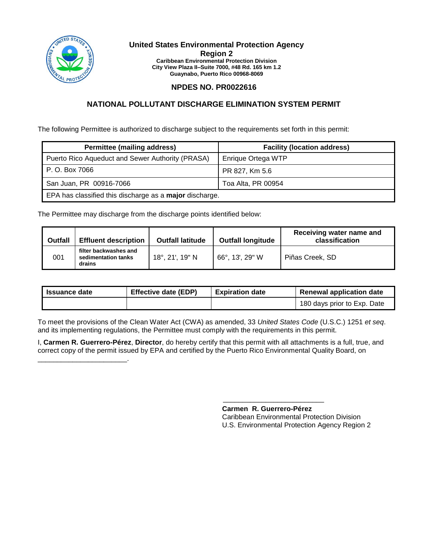

\_\_\_\_\_\_\_\_\_\_\_\_\_\_\_\_\_\_\_\_\_\_\_.

#### **United States Environmental Protection Agency Region 2 Caribbean Environmental Protection Division City View Plaza II–Suite 7000, #48 Rd. 165 km 1.2 Guaynabo, Puerto Rico 00968-8069**

# **NPDES NO. PR0022616**

# **NATIONAL POLLUTANT DISCHARGE ELIMINATION SYSTEM PERMIT**

The following Permittee is authorized to discharge subject to the requirements set forth in this permit:

| <b>Permittee (mailing address)</b>                      | <b>Facility (location address)</b> |  |  |
|---------------------------------------------------------|------------------------------------|--|--|
| Puerto Rico Aqueduct and Sewer Authority (PRASA)        | Enrique Ortega WTP                 |  |  |
| P. O. Box 7066                                          | PR 827, Km 5.6                     |  |  |
| San Juan, PR 00916-7066                                 | Toa Alta, PR 00954                 |  |  |
| EPA has classified this discharge as a major discharge. |                                    |  |  |

The Permittee may discharge from the discharge points identified below:

| <b>Outfall</b> | <b>Effluent description</b>                            | <b>Outfall latitude</b>   | <b>Outfall longitude</b> | Receiving water name and<br>classification |
|----------------|--------------------------------------------------------|---------------------------|--------------------------|--------------------------------------------|
| 001            | filter backwashes and<br>sedimentation tanks<br>drains | $18^{\circ}$ , 21', 19" N | 66°, 13', 29" W          | Piñas Creek, SD                            |

| <b>Issuance date</b> | <b>Effective date (EDP)</b> | <b>Expiration date</b> | <b>Renewal application date</b> |
|----------------------|-----------------------------|------------------------|---------------------------------|
|                      |                             |                        | 180 days prior to Exp. Date     |

To meet the provisions of the Clean Water Act (CWA) as amended, 33 *United States Code* (U.S.C.) 1251 *et seq*. and its implementing regulations, the Permittee must comply with the requirements in this permit.

I, **Carmen R. Guerrero-Pérez**, **Director**, do hereby certify that this permit with all attachments is a full, true, and correct copy of the permit issued by EPA and certified by the Puerto Rico Environmental Quality Board, on

> \_\_\_\_\_\_\_\_\_\_\_\_\_\_\_\_\_\_\_\_\_\_\_\_\_\_ **Carmen R. Guerrero-Pérez**

Caribbean Environmental Protection Division U.S. Environmental Protection Agency Region 2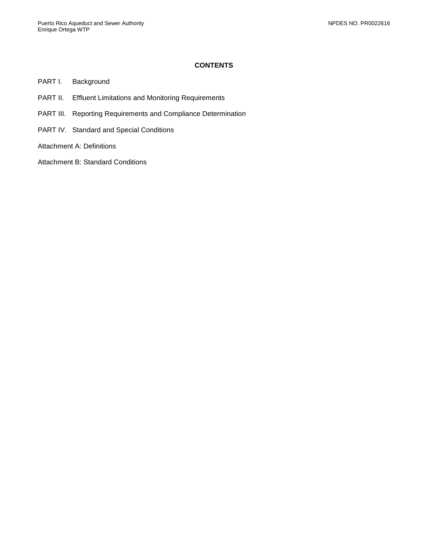# **CONTENTS**

- PART I. [Background](#page-2-0)
- PART II. [Effluent Limitations and Monitoring Requirements](#page-3-0)
- PART III. [Reporting Requirements and Compliance Determination](#page-5-0)
- PART IV. [Standard and Special Conditions](#page-7-0)
- [Attachment A: Definitions](#page-13-0)
- [Attachment B: Standard Conditions](#page-17-0)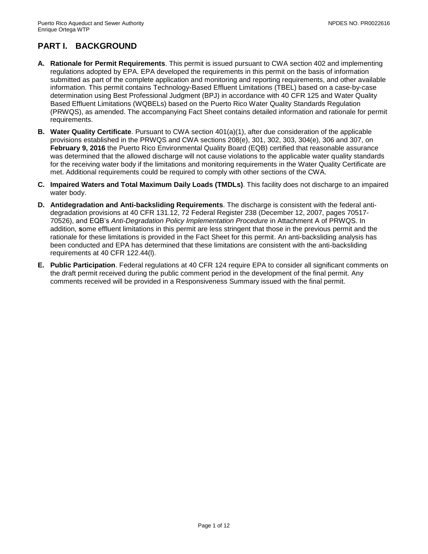# <span id="page-2-0"></span>**PART I. BACKGROUND**

- **A. Rationale for Permit Requirements**. This permit is issued pursuant to CWA section 402 and implementing regulations adopted by EPA. EPA developed the requirements in this permit on the basis of information submitted as part of the complete application and monitoring and reporting requirements, and other available information. This permit contains Technology-Based Effluent Limitations (TBEL) based on a case-by-case determination using Best Professional Judgment (BPJ) in accordance with 40 CFR 125 and Water Quality Based Effluent Limitations (WQBELs) based on the Puerto Rico Water Quality Standards Regulation (PRWQS), as amended. The accompanying Fact Sheet contains detailed information and rationale for permit requirements.
- **B. Water Quality Certificate**. Pursuant to CWA section 401(a)(1), after due consideration of the applicable provisions established in the PRWQS and CWA sections 208(e), 301, 302, 303, 304(e), 306 and 307, on **February 9, 2016** the Puerto Rico Environmental Quality Board (EQB) certified that reasonable assurance was determined that the allowed discharge will not cause violations to the applicable water quality standards for the receiving water body if the limitations and monitoring requirements in the Water Quality Certificate are met. Additional requirements could be required to comply with other sections of the CWA.
- **C. Impaired Waters and Total Maximum Daily Loads (TMDLs)**. This facility does not discharge to an impaired water body.
- **D. Antidegradation and Anti-backsliding Requirements**. The discharge is consistent with the federal antidegradation provisions at 40 CFR 131.12, 72 Federal Register 238 (December 12, 2007, pages 70517- 70526), and EQB's *Anti-Degradation Policy Implementation Procedure* in Attachment A of PRWQS. In addition, **s**ome effluent limitations in this permit are less stringent that those in the previous permit and the rationale for these limitations is provided in the Fact Sheet for this permit. An anti-backsliding analysis has been conducted and EPA has determined that these limitations are consistent with the anti-backsliding requirements at 40 CFR 122.44(l).
- **E. Public Participation**. Federal regulations at 40 CFR 124 require EPA to consider all significant comments on the draft permit received during the public comment period in the development of the final permit. Any comments received will be provided in a Responsiveness Summary issued with the final permit.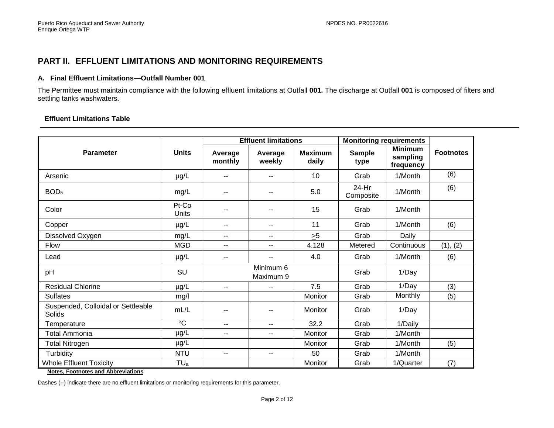# **PART II. EFFLUENT LIMITATIONS AND MONITORING REQUIREMENTS**

### **A. Final Effluent Limitations—Outfall Number 001**

The Permittee must maintain compliance with the following effluent limitations at Outfall **001.** The discharge at Outfall **001** is composed of filters and settling tanks washwaters.

### **Effluent Limitations Table**

<span id="page-3-0"></span>

|                                                     |                 | <b>Effluent limitations</b> |                          |                         | <b>Monitoring requirements</b> |                                         |                  |
|-----------------------------------------------------|-----------------|-----------------------------|--------------------------|-------------------------|--------------------------------|-----------------------------------------|------------------|
| <b>Parameter</b>                                    | <b>Units</b>    | Average<br>monthly          | Average<br>weekly        | <b>Maximum</b><br>daily | <b>Sample</b><br>type          | <b>Minimum</b><br>sampling<br>frequency | <b>Footnotes</b> |
| Arsenic                                             | µg/L            | --                          |                          | 10                      | Grab                           | 1/Month                                 | (6)              |
| BOD <sub>5</sub>                                    | mg/L            | --                          |                          | 5.0                     | 24-Hr<br>Composite             | 1/Month                                 | (6)              |
| Color                                               | Pt-Co<br>Units  | --                          |                          | 15                      | Grab                           | 1/Month                                 |                  |
| Copper                                              | µg/L            | --                          | $- -$                    | 11                      | Grab                           | 1/Month                                 | (6)              |
| Dissolved Oxygen                                    | mg/L            | --                          | $\overline{\phantom{a}}$ | $\geq 5$                | Grab                           | Daily                                   |                  |
| Flow                                                | <b>MGD</b>      | $-$                         | $- -$                    | 4.128                   | Metered                        | Continuous                              | (1), (2)         |
| Lead                                                | µg/L            | --                          | $-$                      | 4.0                     | Grab                           | 1/Month                                 | (6)              |
| pH                                                  | SU              |                             | Minimum 6<br>Maximum 9   |                         | Grab                           | 1/Day                                   |                  |
| <b>Residual Chlorine</b>                            | µg/L            | $-$                         | $\overline{\phantom{a}}$ | 7.5                     | Grab                           | 1/Day                                   | (3)              |
| <b>Sulfates</b>                                     | mg/l            |                             |                          | Monitor                 | Grab                           | Monthly                                 | (5)              |
| Suspended, Colloidal or Settleable<br><b>Solids</b> | mL/L            | --                          |                          | Monitor                 | Grab                           | 1/Day                                   |                  |
| Temperature                                         | $\overline{C}$  | $-$                         | $- -$                    | 32.2                    | Grab                           | 1/Daily                                 |                  |
| Total Ammonia                                       | µg/L            | $-$                         | $-$                      | Monitor                 | Grab                           | 1/Month                                 |                  |
| <b>Total Nitrogen</b>                               | $\mu$ g/L       |                             |                          | Monitor                 | Grab                           | 1/Month                                 | (5)              |
| Turbidity                                           | <b>NTU</b>      | $-1$                        | $- -$                    | 50                      | Grab                           | 1/Month                                 |                  |
| <b>Whole Effluent Toxicity</b>                      | TU <sub>a</sub> |                             |                          | Monitor                 | Grab                           | 1/Quarter                               | (7)              |

**Notes, Footnotes and Abbreviations**

Dashes (--) indicate there are no effluent limitations or monitoring requirements for this parameter.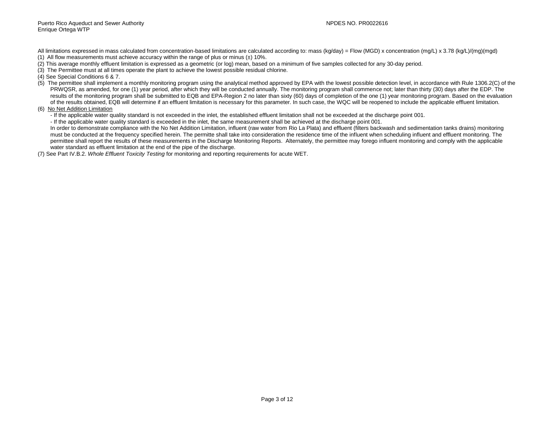All limitations expressed in mass calculated from concentration-based limitations are calculated according to: mass (kg/day) = Flow (MGD) x concentration (mg/L) x 3.78 (kg/L)/(mg)(mgd)

- (1) All flow measurements must achieve accuracy within the range of plus or minus  $(\pm)$  10%.
- (2) This average monthly effluent limitation is expressed as a geometric (or log) mean, based on a minimum of five samples collected for any 30-day period.
- (3) The Permittee must at all times operate the plant to achieve the lowest possible residual chlorine.
- (4) See Special Conditions 6 & 7.
- (5) The permittee shall implement a monthly monitoring program using the analytical method approved by EPA with the lowest possible detection level, in accordance with Rule 1306.2(C) of the PRWQSR, as amended, for one (1) year period, after which they will be conducted annually. The monitoring program shall commence not; later than thirty (30) days after the EDP. The results of the monitoring program shall be submitted to EQB and EPA-Region 2 no later than sixty (60) days of completion of the one (1) year monitoring program. Based on the evaluation of the results obtained, EQB will determine if an effluent limitation is necessary for this parameter. In such case, the WQC will be reopened to include the applicable effluent limitation.
- (6) No Net Addition Limitation
	- If the applicable water quality standard is not exceeded in the inlet, the established effluent limitation shall not be exceeded at the discharge point 001.
	- If the applicable water quality standard is exceeded in the inlet, the same measurement shall be achieved at the discharge point 001.

In order to demonstrate compliance with the No Net Addition Limitation, influent (raw water from Rio La Plata) and effluent (filters backwash and sedimentation tanks drains) monitoring must be conducted at the frequency specified herein. The permitte shall take into consideration the residence time of the influent when scheduling influent and effluent monitoring. The permittee shall report the results of these measurements in the Discharge Monitoring Reports. Alternately, the permittee may forego influent monitoring and comply with the applicable water standard as effluent limitation at the end of the pipe of the discharge.

(7) See Part IV.B.2. *Whole Effluent Toxicity Testing* for monitoring and reporting requirements for acute WET.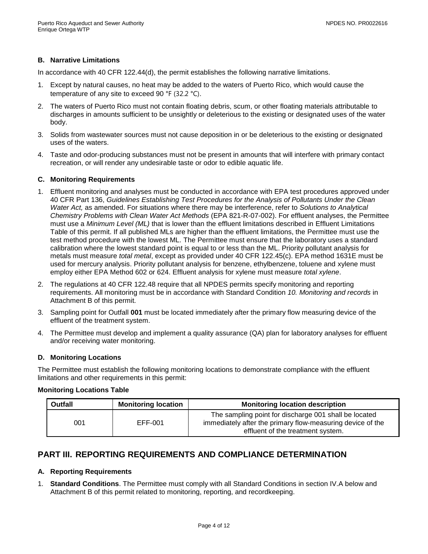# **B. Narrative Limitations**

In accordance with 40 CFR 122.44(d), the permit establishes the following narrative limitations.

- 1. Except by natural causes, no heat may be added to the waters of Puerto Rico, which would cause the temperature of any site to exceed 90 °F (32.2 °C).
- 2. The waters of Puerto Rico must not contain floating debris, scum, or other floating materials attributable to discharges in amounts sufficient to be unsightly or deleterious to the existing or designated uses of the water body.
- 3. Solids from wastewater sources must not cause deposition in or be deleterious to the existing or designated uses of the waters.
- 4. Taste and odor-producing substances must not be present in amounts that will interfere with primary contact recreation, or will render any undesirable taste or odor to edible aquatic life.

#### **C. Monitoring Requirements**

- 1. Effluent monitoring and analyses must be conducted in accordance with EPA test procedures approved under 40 CFR Part 136, *Guidelines Establishing Test Procedures for the Analysis of Pollutants Under the Clean Water Act,* as amended. For situations where there may be interference, refer to *Solutions to Analytical Chemistry Problems with Clean Water Act Methods* (EPA 821-R-07-002). For effluent analyses, the Permittee must use a *Minimum Level (ML)* that is lower than the effluent limitations described in Effluent Limitations Table of this permit. If all published MLs are higher than the effluent limitations, the Permittee must use the test method procedure with the lowest ML. The Permittee must ensure that the laboratory uses a standard calibration where the lowest standard point is equal to or less than the ML. Priority pollutant analysis for metals must measure *total metal*, except as provided under 40 CFR 122.45(c). EPA method 1631E must be used for mercury analysis. Priority pollutant analysis for benzene, ethylbenzene, toluene and xylene must employ either EPA Method 602 or 624. Effluent analysis for xylene must measure *total xylene*.
- 2. The regulations at 40 CFR 122.48 require that all NPDES permits specify monitoring and reporting requirements. All monitoring must be in accordance with Standard Condition *10. Monitoring and records* in Attachment B of this permit.
- 3. Sampling point for Outfall **001** must be located immediately after the primary flow measuring device of the effluent of the treatment system.
- 4. The Permittee must develop and implement a quality assurance (QA) plan for laboratory analyses for effluent and/or receiving water monitoring.

#### **D. Monitoring Locations**

The Permittee must establish the following monitoring locations to demonstrate compliance with the effluent limitations and other requirements in this permit:

### **Monitoring Locations Table**

| <b>Outfall</b> | <b>Monitoring location</b> | <b>Monitoring location description</b>                                                                                                                   |
|----------------|----------------------------|----------------------------------------------------------------------------------------------------------------------------------------------------------|
| 001            | EFF-001                    | The sampling point for discharge 001 shall be located<br>immediately after the primary flow-measuring device of the<br>effluent of the treatment system. |

# <span id="page-5-0"></span>**PART III. REPORTING REQUIREMENTS AND COMPLIANCE DETERMINATION**

#### **A. Reporting Requirements**

1. **Standard Conditions**. The Permittee must comply with all Standard Conditions in section IV.A below and Attachment B of this permit related to monitoring, reporting, and recordkeeping.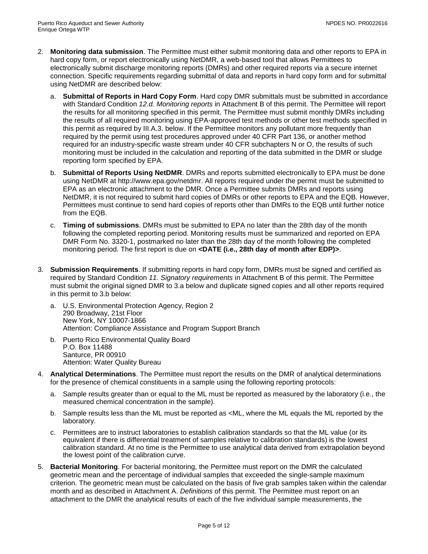- 2. **Monitoring data submission**. The Permittee must either submit monitoring data and other reports to EPA in hard copy form, or report electronically using NetDMR, a web-based tool that allows Permittees to electronically submit discharge monitoring reports (DMRs) and other required reports via a secure internet connection. Specific requirements regarding submittal of data and reports in hard copy form and for submittal using NetDMR are described below:
	- a. **Submittal of Reports in Hard Copy Form**. Hard copy DMR submittals must be submitted in accordance with Standard Condition *12.d. Monitoring reports* in Attachment B of this permit. The Permittee will report the results for all monitoring specified in this permit. The Permittee must submit monthly DMRs including the results of all required monitoring using EPA-approved test methods or other test methods specified in this permit as required by III.A.3. below. If the Permittee monitors any pollutant more frequently than required by the permit using test procedures approved under 40 CFR Part 136, or another method required for an industry-specific waste stream under 40 CFR subchapters N or O, the results of such monitoring must be included in the calculation and reporting of the data submitted in the DMR or sludge reporting form specified by EPA.
	- b. **Submittal of Reports Using NetDMR**. DMRs and reports submitted electronically to EPA must be done using NetDMR at http://www.epa.gov/netdmr. All reports required under the permit must be submitted to EPA as an electronic attachment to the DMR. Once a Permittee submits DMRs and reports using NetDMR, it is not required to submit hard copies of DMRs or other reports to EPA and the EQB. However, Permittees must continue to send hard copies of reports other than DMRs to the EQB until further notice from the EQB.
	- c. **Timing of submissions**. DMRs must be submitted to EPA no later than the 28th day of the month following the completed reporting period. Monitoring results must be summarized and reported on EPA DMR Form No. 3320-1, postmarked no later than the 28th day of the month following the completed monitoring period. The first report is due on **<DATE (i.e., 28th day of month after EDP)>**.
- 3. **Submission Requirements**. If submitting reports in hard copy form, DMRs must be signed and certified as required by Standard Condition *11. Signatory requirements* in Attachment B of this permit. The Permittee must submit the original signed DMR to 3.a below and duplicate signed copies and all other reports required in this permit to 3.b below:
	- a. U.S. Environmental Protection Agency, Region 2 290 Broadway, 21st Floor New York, NY 10007-1866 Attention: Compliance Assistance and Program Support Branch
	- b. Puerto Rico Environmental Quality Board P.O. Box 11488 Santurce, PR 00910 Attention: Water Quality Bureau
- 4. **Analytical Determinations**. The Permittee must report the results on the DMR of analytical determinations for the presence of chemical constituents in a sample using the following reporting protocols:
	- a. Sample results greater than or equal to the ML must be reported as measured by the laboratory (i.e., the measured chemical concentration in the sample).
	- b. Sample results less than the ML must be reported as <ML, where the ML equals the ML reported by the laboratory.
	- c. Permittees are to instruct laboratories to establish calibration standards so that the ML value (or its equivalent if there is differential treatment of samples relative to calibration standards) is the lowest calibration standard. At no time is the Permittee to use analytical data derived from extrapolation beyond the lowest point of the calibration curve.
- 5. **Bacterial Monitoring**. For bacterial monitoring, the Permittee must report on the DMR the calculated geometric mean and the percentage of individual samples that exceeded the single-sample maximum criterion. The geometric mean must be calculated on the basis of five grab samples taken within the calendar month and as described in Attachment A. *Definitions* of this permit. The Permittee must report on an attachment to the DMR the analytical results of each of the five individual sample measurements, the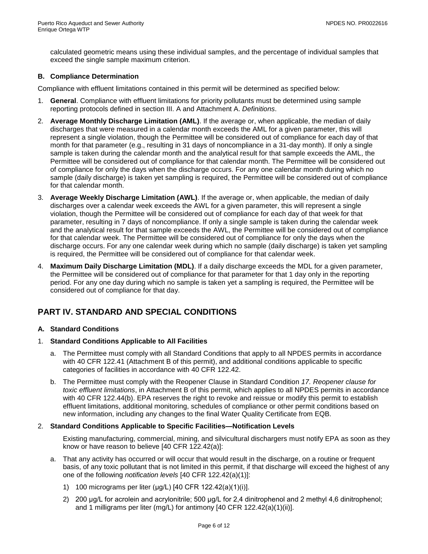calculated geometric means using these individual samples, and the percentage of individual samples that exceed the single sample maximum criterion.

### **B. Compliance Determination**

Compliance with effluent limitations contained in this permit will be determined as specified below:

- 1. **General**. Compliance with effluent limitations for priority pollutants must be determined using sample reporting protocols defined in section III. A and Attachment A. *Definitions*.
- 2. **Average Monthly Discharge Limitation (AML)**. If the average or, when applicable, the median of daily discharges that were measured in a calendar month exceeds the AML for a given parameter, this will represent a single violation, though the Permittee will be considered out of compliance for each day of that month for that parameter (e.g., resulting in 31 days of noncompliance in a 31-day month). If only a single sample is taken during the calendar month and the analytical result for that sample exceeds the AML, the Permittee will be considered out of compliance for that calendar month. The Permittee will be considered out of compliance for only the days when the discharge occurs. For any one calendar month during which no sample (daily discharge) is taken yet sampling is required, the Permittee will be considered out of compliance for that calendar month.
- 3. **Average Weekly Discharge Limitation (AWL)**. If the average or, when applicable, the median of daily discharges over a calendar week exceeds the AWL for a given parameter, this will represent a single violation, though the Permittee will be considered out of compliance for each day of that week for that parameter, resulting in 7 days of noncompliance. If only a single sample is taken during the calendar week and the analytical result for that sample exceeds the AWL, the Permittee will be considered out of compliance for that calendar week. The Permittee will be considered out of compliance for only the days when the discharge occurs. For any one calendar week during which no sample (daily discharge) is taken yet sampling is required, the Permittee will be considered out of compliance for that calendar week.
- 4. **Maximum Daily Discharge Limitation (MDL)**. If a daily discharge exceeds the MDL for a given parameter, the Permittee will be considered out of compliance for that parameter for that 1 day only in the reporting period. For any one day during which no sample is taken yet a sampling is required, the Permittee will be considered out of compliance for that day.

# <span id="page-7-0"></span>**PART IV. STANDARD AND SPECIAL CONDITIONS**

#### **A. Standard Conditions**

- 1. **Standard Conditions Applicable to All Facilities**
	- a. The Permittee must comply with all Standard Conditions that apply to all NPDES permits in accordance with 40 CFR 122.41 (Attachment B of this permit), and additional conditions applicable to specific categories of facilities in accordance with 40 CFR 122.42.
	- b. The Permittee must comply with the Reopener Clause in Standard Condition *17. Reopener clause for toxic effluent limitations*, in Attachment B of this permit, which applies to all NPDES permits in accordance with 40 CFR 122.44(b). EPA reserves the right to revoke and reissue or modify this permit to establish effluent limitations, additional monitoring, schedules of compliance or other permit conditions based on new information, including any changes to the final Water Quality Certificate from EQB.

#### 2. **Standard Conditions Applicable to Specific Facilities—Notification Levels**

Existing manufacturing, commercial, mining, and silvicultural dischargers must notify EPA as soon as they know or have reason to believe [40 CFR 122.42(a)]:

- a. That any activity has occurred or will occur that would result in the discharge, on a routine or frequent basis, of any toxic pollutant that is not limited in this permit, if that discharge will exceed the highest of any one of the following *notification levels* [40 CFR 122.42(a)(1)]:
	- 1) 100 micrograms per liter (μg/L) [40 CFR 122.42(a)(1)(i)].
	- 2) 200 μg/L for acrolein and acrylonitrile; 500 μg/L for 2,4 dinitrophenol and 2 methyl 4,6 dinitrophenol; and 1 milligrams per liter (mg/L) for antimony [40 CFR 122.42(a)(1)(ii)].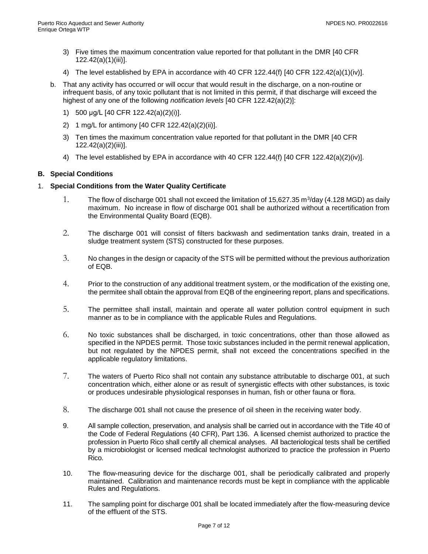- 3) Five times the maximum concentration value reported for that pollutant in the DMR [40 CFR 122.42(a)(1)(iii)].
- 4) The level established by EPA in accordance with 40 CFR 122.44(f) [40 CFR 122.42(a)(1)(iv)].
- b. That any activity has occurred or will occur that would result in the discharge, on a non-routine or infrequent basis, of any toxic pollutant that is not limited in this permit, if that discharge will exceed the highest of any one of the following *notification levels* [40 CFR 122.42(a)(2)]:
	- 1) 500 μg/L [40 CFR 122.42(a)(2)(i)].
	- 2) 1 mg/L for antimony [40 CFR 122.42(a)(2)(ii)].
	- 3) Ten times the maximum concentration value reported for that pollutant in the DMR [40 CFR 122.42(a)(2)(iii)].
	- 4) The level established by EPA in accordance with 40 CFR 122.44(f) [40 CFR 122.42(a)(2)(iv)].

# **B. Special Conditions**

#### 1. **Special Conditions from the Water Quality Certificate**

- 1. The flow of discharge 001 shall not exceed the limitation of 15,627.35 m<sup>3</sup>/day (4.128 MGD) as daily maximum. No increase in flow of discharge 001 shall be authorized without a recertification from the Environmental Quality Board (EQB).
- 2. The discharge 001 will consist of filters backwash and sedimentation tanks drain, treated in a sludge treatment system (STS) constructed for these purposes.
- 3. No changes in the design or capacity of the STS will be permitted without the previous authorization of EQB.
- 4. Prior to the construction of any additional treatment system, or the modification of the existing one, the permitee shall obtain the approval from EQB of the engineering report, plans and specifications.
- 5. The permittee shall install, maintain and operate all water pollution control equipment in such manner as to be in compliance with the applicable Rules and Regulations.
- 6. No toxic substances shall be discharged, in toxic concentrations, other than those allowed as specified in the NPDES permit. Those toxic substances included in the permit renewal application, but not regulated by the NPDES permit, shall not exceed the concentrations specified in the applicable regulatory limitations.
- 7. The waters of Puerto Rico shall not contain any substance attributable to discharge 001, at such concentration which, either alone or as result of synergistic effects with other substances, is toxic or produces undesirable physiological responses in human, fish or other fauna or flora.
- 8. The discharge 001 shall not cause the presence of oil sheen in the receiving water body.
- 9. All sample collection, preservation, and analysis shall be carried out in accordance with the Title 40 of the Code of Federal Regulations (40 CFR), Part 136. A licensed chemist authorized to practice the profession in Puerto Rico shall certify all chemical analyses. All bacteriological tests shall be certified by a microbiologist or licensed medical technologist authorized to practice the profession in Puerto Rico.
- 10. The flow-measuring device for the discharge 001, shall be periodically calibrated and properly maintained. Calibration and maintenance records must be kept in compliance with the applicable Rules and Regulations.
- 11. The sampling point for discharge 001 shall be located immediately after the flow-measuring device of the effluent of the STS.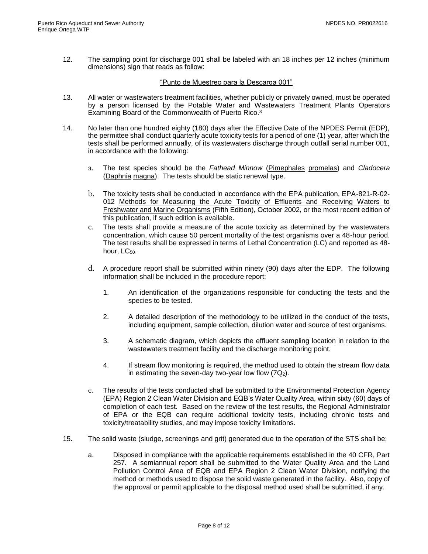12. The sampling point for discharge 001 shall be labeled with an 18 inches per 12 inches (minimum dimensions) sign that reads as follow:

#### "Punto de Muestreo para la Descarga 001"

- 13. All water or wastewaters treatment facilities, whether publicly or privately owned, must be operated by a person licensed by the Potable Water and Wastewaters Treatment Plants Operators Examining Board of the Commonwealth of Puerto Rico.<sup>3</sup>
- 14. No later than one hundred eighty (180) days after the Effective Date of the NPDES Permit (EDP), the permittee shall conduct quarterly acute toxicity tests for a period of one (1) year, after which the tests shall be performed annually, of its wastewaters discharge through outfall serial number 001, in accordance with the following:
	- a. The test species should be the *Fathead Minnow* (Pimephales promelas) and *Cladocera* (Daphnia magna). The tests should be static renewal type.
	- b. The toxicity tests shall be conducted in accordance with the EPA publication, EPA-821-R-02- 012 Methods for Measuring the Acute Toxicity of Effluents and Receiving Waters to Freshwater and Marine Organisms (Fifth Edition), October 2002, or the most recent edition of this publication, if such edition is available.
	- c. The tests shall provide a measure of the acute toxicity as determined by the wastewaters concentration, which cause 50 percent mortality of the test organisms over a 48-hour period. The test results shall be expressed in terms of Lethal Concentration (LC) and reported as 48 hour, LC<sub>50</sub>.
	- d. A procedure report shall be submitted within ninety (90) days after the EDP. The following information shall be included in the procedure report:
		- 1. An identification of the organizations responsible for conducting the tests and the species to be tested.
		- 2. A detailed description of the methodology to be utilized in the conduct of the tests, including equipment, sample collection, dilution water and source of test organisms.
		- 3. A schematic diagram, which depicts the effluent sampling location in relation to the wastewaters treatment facility and the discharge monitoring point.
		- 4. If stream flow monitoring is required, the method used to obtain the stream flow data in estimating the seven-day two-year low flow  $(7Q<sub>2</sub>)$ .
	- e. The results of the tests conducted shall be submitted to the Environmental Protection Agency (EPA) Region 2 Clean Water Division and EQB's Water Quality Area, within sixty (60) days of completion of each test. Based on the review of the test results, the Regional Administrator of EPA or the EQB can require additional toxicity tests, including chronic tests and toxicity/treatability studies, and may impose toxicity limitations.
- 15. The solid waste (sludge, screenings and grit) generated due to the operation of the STS shall be:
	- a. Disposed in compliance with the applicable requirements established in the 40 CFR, Part 257. A semiannual report shall be submitted to the Water Quality Area and the Land Pollution Control Area of EQB and EPA Region 2 Clean Water Division, notifying the method or methods used to dispose the solid waste generated in the facility. Also, copy of the approval or permit applicable to the disposal method used shall be submitted, if any.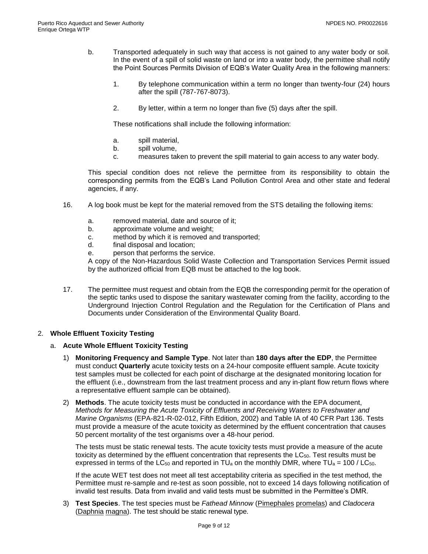- b. Transported adequately in such way that access is not gained to any water body or soil. In the event of a spill of solid waste on land or into a water body, the permittee shall notify the Point Sources Permits Division of EQB's Water Quality Area in the following manners:
	- 1. By telephone communication within a term no longer than twenty-four (24) hours after the spill (787-767-8073).
	- 2. By letter, within a term no longer than five (5) days after the spill.

These notifications shall include the following information:

- a. spill material,
- b. spill volume,
- c. measures taken to prevent the spill material to gain access to any water body.

This special condition does not relieve the permittee from its responsibility to obtain the corresponding permits from the EQB's Land Pollution Control Area and other state and federal agencies, if any.

- 16. A log book must be kept for the material removed from the STS detailing the following items:
	- a. removed material, date and source of it;
	- b. approximate volume and weight;
	- c. method by which it is removed and transported;
	- d. final disposal and location;
	- e. person that performs the service.

A copy of the Non-Hazardous Solid Waste Collection and Transportation Services Permit issued by the authorized official from EQB must be attached to the log book.

17. The permittee must request and obtain from the EQB the corresponding permit for the operation of the septic tanks used to dispose the sanitary wastewater coming from the facility, according to the Underground Injection Control Regulation and the Regulation for the Certification of Plans and Documents under Consideration of the Environmental Quality Board.

#### 2. **Whole Effluent Toxicity Testing**

#### a. **Acute Whole Effluent Toxicity Testing**

- 1) **Monitoring Frequency and Sample Type**. Not later than **180 days after the EDP**, the Permittee must conduct **Quarterly** acute toxicity tests on a 24-hour composite effluent sample. Acute toxicity test samples must be collected for each point of discharge at the designated monitoring location for the effluent (i.e., downstream from the last treatment process and any in-plant flow return flows where a representative effluent sample can be obtained).
- 2) **Methods**. The acute toxicity tests must be conducted in accordance with the EPA document, *Methods for Measuring the Acute Toxicity of Effluents and Receiving Waters to Freshwater and Marine Organisms* (EPA-821-R-02-012, Fifth Edition, 2002) and Table IA of 40 CFR Part 136. Tests must provide a measure of the acute toxicity as determined by the effluent concentration that causes 50 percent mortality of the test organisms over a 48-hour period.

The tests must be static renewal tests. The acute toxicity tests must provide a measure of the acute toxicity as determined by the effluent concentration that represents the  $LC_{50}$ . Test results must be expressed in terms of the LC<sub>50</sub> and reported in TU<sub>a</sub> on the monthly DMR, where TU<sub>a</sub> = 100 / LC<sub>50</sub>.

If the acute WET test does not meet all test acceptability criteria as specified in the test method, the Permittee must re-sample and re-test as soon possible, not to exceed 14 days following notification of invalid test results. Data from invalid and valid tests must be submitted in the Permittee's DMR.

3) **Test Species**. The test species must be *Fathead Minnow* (Pimephales promelas) and *Cladocera* (Daphnia magna). The test should be static renewal type.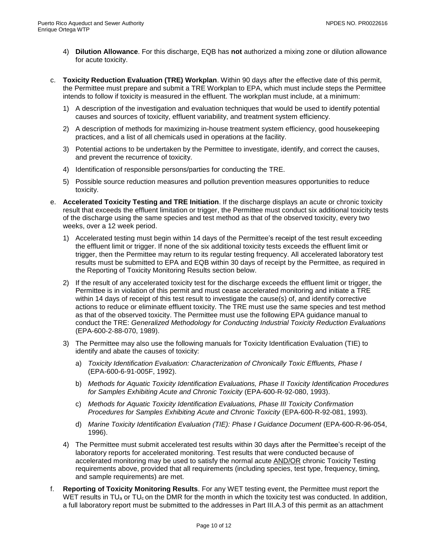- 4) **Dilution Allowance**. For this discharge, EQB has **not** authorized a mixing zone or dilution allowance for acute toxicity.
- c. **Toxicity Reduction Evaluation (TRE) Workplan**. Within 90 days after the effective date of this permit, the Permittee must prepare and submit a TRE Workplan to EPA, which must include steps the Permittee intends to follow if toxicity is measured in the effluent. The workplan must include, at a minimum:
	- 1) A description of the investigation and evaluation techniques that would be used to identify potential causes and sources of toxicity, effluent variability, and treatment system efficiency.
	- 2) A description of methods for maximizing in-house treatment system efficiency, good housekeeping practices, and a list of all chemicals used in operations at the facility.
	- 3) Potential actions to be undertaken by the Permittee to investigate, identify, and correct the causes, and prevent the recurrence of toxicity.
	- 4) Identification of responsible persons/parties for conducting the TRE.
	- 5) Possible source reduction measures and pollution prevention measures opportunities to reduce toxicity.
- e. **Accelerated Toxicity Testing and TRE Initiation**. If the discharge displays an acute or chronic toxicity result that exceeds the effluent limitation or trigger, the Permittee must conduct six additional toxicity tests of the discharge using the same species and test method as that of the observed toxicity, every two weeks, over a 12 week period.
	- 1) Accelerated testing must begin within 14 days of the Permittee's receipt of the test result exceeding the effluent limit or trigger. If none of the six additional toxicity tests exceeds the effluent limit or trigger, then the Permittee may return to its regular testing frequency. All accelerated laboratory test results must be submitted to EPA and EQB within 30 days of receipt by the Permittee, as required in the Reporting of Toxicity Monitoring Results section below.
	- 2) If the result of any accelerated toxicity test for the discharge exceeds the effluent limit or trigger, the Permittee is in violation of this permit and must cease accelerated monitoring and initiate a TRE within 14 days of receipt of this test result to investigate the cause(s) of, and identify corrective actions to reduce or eliminate effluent toxicity. The TRE must use the same species and test method as that of the observed toxicity. The Permittee must use the following EPA guidance manual to conduct the TRE: *Generalized Methodology for Conducting Industrial Toxicity Reduction Evaluations* (EPA-600-2-88-070, 1989).
	- 3) The Permittee may also use the following manuals for Toxicity Identification Evaluation (TIE) to identify and abate the causes of toxicity:
		- a) *Toxicity Identification Evaluation: Characterization of Chronically Toxic Effluents, Phase I*  (EPA-600-6-91-005F, 1992).
		- b) *Methods for Aquatic Toxicity Identification Evaluations, Phase II Toxicity Identification Procedures for Samples Exhibiting Acute and Chronic Toxicity* (EPA-600-R-92-080, 1993).
		- c) *Methods for Aquatic Toxicity Identification Evaluations, Phase III Toxicity Confirmation Procedures for Samples Exhibiting Acute and Chronic Toxicity* (EPA-600-R-92-081, 1993).
		- d) *Marine Toxicity Identification Evaluation (TIE): Phase I Guidance Document* (EPA-600-R-96-054, 1996).
	- 4) The Permittee must submit accelerated test results within 30 days after the Permittee's receipt of the laboratory reports for accelerated monitoring. Test results that were conducted because of accelerated monitoring may be used to satisfy the normal acute AND/OR chronic Toxicity Testing requirements above, provided that all requirements (including species, test type, frequency, timing, and sample requirements) are met.
- f. **Reporting of Toxicity Monitoring Results**. For any WET testing event, the Permittee must report the WET results in TU<sub>a</sub> or TU<sub>c</sub> on the DMR for the month in which the toxicity test was conducted. In addition, a full laboratory report must be submitted to the addresses in Part III.A.3 of this permit as an attachment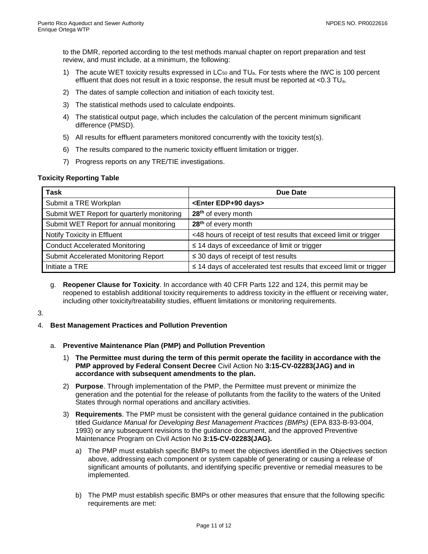to the DMR, reported according to the test methods manual chapter on report preparation and test review, and must include, at a minimum, the following:

- 1) The acute WET toxicity results expressed in  $LC_{50}$  and  $TU_{a}$ . For tests where the IWC is 100 percent effluent that does not result in a toxic response, the result must be reported at <0.3 TUa.
- 2) The dates of sample collection and initiation of each toxicity test.
- 3) The statistical methods used to calculate endpoints.
- 4) The statistical output page, which includes the calculation of the percent minimum significant difference (PMSD).
- 5) All results for effluent parameters monitored concurrently with the toxicity test(s).
- 6) The results compared to the numeric toxicity effluent limitation or trigger.
- 7) Progress reports on any TRE/TIE investigations.

#### **Toxicity Reporting Table**

| <b>Task</b>                                | Due Date                                                                |
|--------------------------------------------|-------------------------------------------------------------------------|
| Submit a TRE Workplan                      | <enter days="" edp+90=""></enter>                                       |
| Submit WET Report for quarterly monitoring | 28 <sup>th</sup> of every month                                         |
| Submit WET Report for annual monitoring    | 28 <sup>th</sup> of every month                                         |
| Notify Toxicity in Effluent                | <48 hours of receipt of test results that exceed limit or trigger       |
| <b>Conduct Accelerated Monitoring</b>      | $\leq$ 14 days of exceedance of limit or trigger                        |
| Submit Accelerated Monitoring Report       | $\leq$ 30 days of receipt of test results                               |
| Initiate a TRE                             | $\leq$ 14 days of accelerated test results that exceed limit or trigger |

g. **Reopener Clause for Toxicity**. In accordance with 40 CFR Parts 122 and 124, this permit may be reopened to establish additional toxicity requirements to address toxicity in the effluent or receiving water, including other toxicity/treatability studies, effluent limitations or monitoring requirements.

3.

- 4. **Best Management Practices and Pollution Prevention**
	- a. **Preventive Maintenance Plan (PMP) and Pollution Prevention**
		- 1) **The Permittee must during the term of this permit operate the facility in accordance with the PMP approved by Federal Consent Decree** Civil Action No **3:15-CV-02283(JAG) and in accordance with subsequent amendments to the plan.**
		- 2) **Purpose**. Through implementation of the PMP, the Permittee must prevent or minimize the generation and the potential for the release of pollutants from the facility to the waters of the United States through normal operations and ancillary activities.
		- 3) **Requirements**. The PMP must be consistent with the general guidance contained in the publication titled *Guidance Manual for Developing Best Management Practices (BMPs)* (EPA 833-B-93-004, 1993) or any subsequent revisions to the guidance document, and the approved Preventive Maintenance Program on Civil Action No **3:15-CV-02283(JAG).**
			- a) The PMP must establish specific BMPs to meet the objectives identified in the Objectives section above, addressing each component or system capable of generating or causing a release of significant amounts of pollutants, and identifying specific preventive or remedial measures to be implemented.
			- b) The PMP must establish specific BMPs or other measures that ensure that the following specific requirements are met: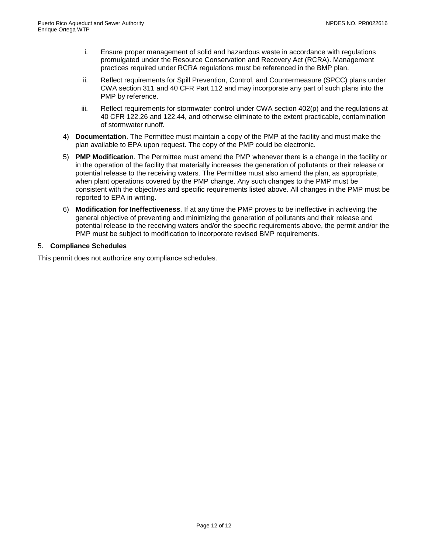- i. Ensure proper management of solid and hazardous waste in accordance with regulations promulgated under the Resource Conservation and Recovery Act (RCRA). Management practices required under RCRA regulations must be referenced in the BMP plan.
- ii. Reflect requirements for Spill Prevention, Control, and Countermeasure (SPCC) plans under CWA section 311 and 40 CFR Part 112 and may incorporate any part of such plans into the PMP by reference.
- iii. Reflect requirements for stormwater control under CWA section 402(p) and the regulations at 40 CFR 122.26 and 122.44, and otherwise eliminate to the extent practicable, contamination of stormwater runoff.
- 4) **Documentation**. The Permittee must maintain a copy of the PMP at the facility and must make the plan available to EPA upon request. The copy of the PMP could be electronic.
- 5) **PMP Modification**. The Permittee must amend the PMP whenever there is a change in the facility or in the operation of the facility that materially increases the generation of pollutants or their release or potential release to the receiving waters. The Permittee must also amend the plan, as appropriate, when plant operations covered by the PMP change. Any such changes to the PMP must be consistent with the objectives and specific requirements listed above. All changes in the PMP must be reported to EPA in writing.
- 6) **Modification for Ineffectiveness**. If at any time the PMP proves to be ineffective in achieving the general objective of preventing and minimizing the generation of pollutants and their release and potential release to the receiving waters and/or the specific requirements above, the permit and/or the PMP must be subject to modification to incorporate revised BMP requirements.

# 5. **Compliance Schedules**

<span id="page-13-0"></span>This permit does not authorize any compliance schedules.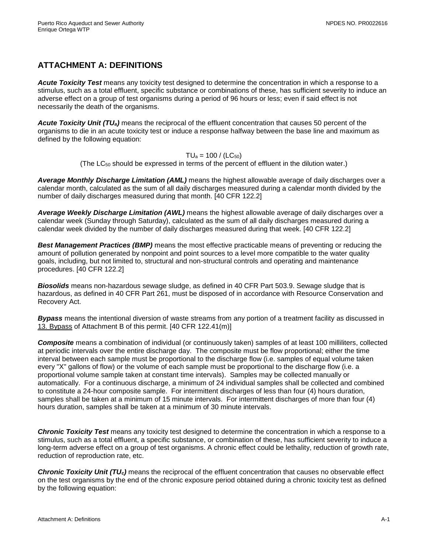# **ATTACHMENT A: DEFINITIONS**

*Acute Toxicity Test* means any toxicity test designed to determine the concentration in which a response to a stimulus, such as a total effluent, specific substance or combinations of these, has sufficient severity to induce an adverse effect on a group of test organisms during a period of 96 hours or less; even if said effect is not necessarily the death of the organisms.

*Acute Toxicity Unit (TUa)* means the reciprocal of the effluent concentration that causes 50 percent of the organisms to die in an acute toxicity test or induce a response halfway between the base line and maximum as defined by the following equation:

#### $TU_a = 100 / (LC_{50})$

(The  $LC_{50}$  should be expressed in terms of the percent of effluent in the dilution water.)

*Average Monthly Discharge Limitation (AML)* means the highest allowable average of daily discharges over a calendar month, calculated as the sum of all daily discharges measured during a calendar month divided by the number of daily discharges measured during that month. [40 CFR 122.2]

*Average Weekly Discharge Limitation (AWL)* means the highest allowable average of daily discharges over a calendar week (Sunday through Saturday), calculated as the sum of all daily discharges measured during a calendar week divided by the number of daily discharges measured during that week. [40 CFR 122.2]

*Best Management Practices (BMP)* means the most effective practicable means of preventing or reducing the amount of pollution generated by nonpoint and point sources to a level more compatible to the water quality goals, including, but not limited to, structural and non-structural controls and operating and maintenance procedures. [40 CFR 122.2]

*Biosolids* means non-hazardous sewage sludge, as defined in 40 CFR Part 503.9. Sewage sludge that is hazardous, as defined in 40 CFR Part 261, must be disposed of in accordance with Resource Conservation and Recovery Act.

*Bypass* means the intentional diversion of waste streams from any portion of a treatment facility as discussed in 13. Bypass of Attachment B of this permit. [40 CFR 122.41(m)]

*Composite* means a combination of individual (or continuously taken) samples of at least 100 milliliters, collected at periodic intervals over the entire discharge day. The composite must be flow proportional; either the time interval between each sample must be proportional to the discharge flow (i.e. samples of equal volume taken every "X" gallons of flow) or the volume of each sample must be proportional to the discharge flow (i.e. a proportional volume sample taken at constant time intervals). Samples may be collected manually or automatically. For a continuous discharge, a minimum of 24 individual samples shall be collected and combined to constitute a 24-hour composite sample. For intermittent discharges of less than four (4) hours duration, samples shall be taken at a minimum of 15 minute intervals. For intermittent discharges of more than four (4) hours duration, samples shall be taken at a minimum of 30 minute intervals.

*Chronic Toxicity Test* means any toxicity test designed to determine the concentration in which a response to a stimulus, such as a total effluent, a specific substance, or combination of these, has sufficient severity to induce a long-term adverse effect on a group of test organisms. A chronic effect could be lethality, reduction of growth rate, reduction of reproduction rate, etc.

*Chronic Toxicity Unit (TUc)* means the reciprocal of the effluent concentration that causes no observable effect on the test organisms by the end of the chronic exposure period obtained during a chronic toxicity test as defined by the following equation: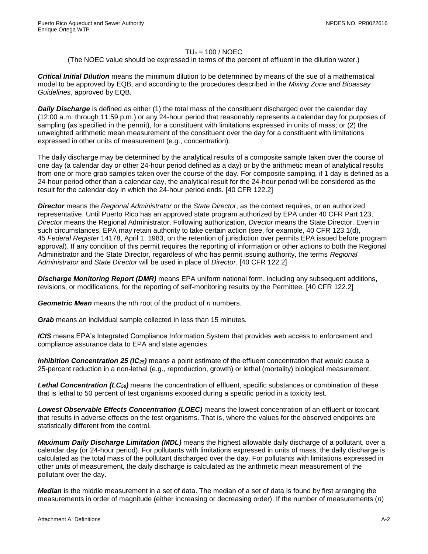#### $TU_c = 100 / NOEC$

#### (The NOEC value should be expressed in terms of the percent of effluent in the dilution water.)

*Critical Initial Dilution* means the minimum dilution to be determined by means of the sue of a mathematical model to be approved by EQB, and according to the procedures described in the *Mixing Zone and Bioassay Guidelines*, approved by EQB.

**Daily Discharge** is defined as either (1) the total mass of the constituent discharged over the calendar day (12:00 a.m. through 11:59 p.m.) or any 24-hour period that reasonably represents a calendar day for purposes of sampling (as specified in the permit), for a constituent with limitations expressed in units of mass; or (2) the unweighted arithmetic mean measurement of the constituent over the day for a constituent with limitations expressed in other units of measurement (e.g., concentration).

The daily discharge may be determined by the analytical results of a composite sample taken over the course of one day (a calendar day or other 24-hour period defined as a day) or by the arithmetic mean of analytical results from one or more grab samples taken over the course of the day. For composite sampling, if 1 day is defined as a 24-hour period other than a calendar day, the analytical result for the 24-hour period will be considered as the result for the calendar day in which the 24-hour period ends. [40 CFR 122.2]

*Director* means the *Regional Administrator* or the *State Director*, as the context requires, or an authorized representative. Until Puerto Rico has an approved state program authorized by EPA under 40 CFR Part 123, *Director* means the Regional Administrator. Following authorization, *Director* means the State Director. Even in such circumstances, EPA may retain authority to take certain action (see, for example, 40 CFR 123.1(d), 45 *Federal Register* 14178, April 1, 1983, on the retention of jurisdiction over permits EPA issued before program approval). If any condition of this permit requires the reporting of information or other actions to both the Regional Administrator and the State Director, regardless of who has permit issuing authority, the terms *Regional Administrator* and *State Director* will be used in place of *Director*. [40 CFR 122.2]

*Discharge Monitoring Report (DMR)* means EPA uniform national form, including any subsequent additions, revisions, or modifications, for the reporting of self-monitoring results by the Permittee. [40 CFR 122.2]

*Geometric Mean* means the *n*th root of the product of *n* numbers.

*Grab* means an individual sample collected in less than 15 minutes.

*ICIS* means EPA's Integrated Compliance Information System that provides web access to enforcement and compliance assurance data to EPA and state agencies.

*Inhibition Concentration 25 (IC25)* means a point estimate of the effluent concentration that would cause a 25-percent reduction in a non-lethal (e.g., reproduction, growth) or lethal (mortality) biological measurement.

*Lethal Concentration (LC50)* means the concentration of effluent, specific substances or combination of these that is lethal to 50 percent of test organisms exposed during a specific period in a toxicity test.

*Lowest Observable Effects Concentration (LOEC)* means the lowest concentration of an effluent or toxicant that results in adverse effects on the test organisms. That is, where the values for the observed endpoints are statistically different from the control.

*Maximum Daily Discharge Limitation (MDL)* means the highest allowable daily discharge of a pollutant, over a calendar day (or 24-hour period). For pollutants with limitations expressed in units of mass, the daily discharge is calculated as the total mass of the pollutant discharged over the day. For pollutants with limitations expressed in other units of measurement, the daily discharge is calculated as the arithmetic mean measurement of the pollutant over the day.

*Median* is the middle measurement in a set of data. The median of a set of data is found by first arranging the measurements in order of magnitude (either increasing or decreasing order). If the number of measurements (*n*)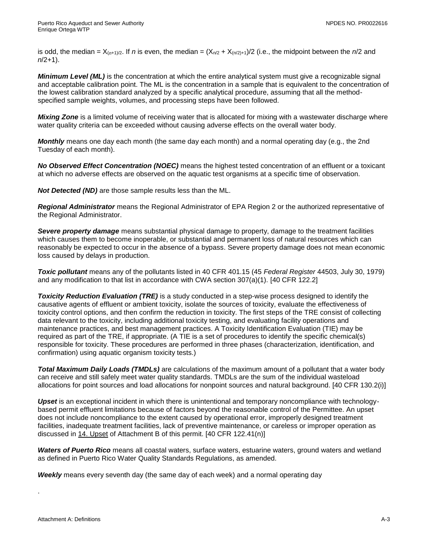is odd, the median =  $X_{(n+1)/2}$ . If *n* is even, the median =  $(X_{n/2} + X_{(n/2)+1})/2$  (i.e., the midpoint between the *n*/2 and *n*/2+1).

*Minimum Level (ML)* is the concentration at which the entire analytical system must give a recognizable signal and acceptable calibration point. The ML is the concentration in a sample that is equivalent to the concentration of the lowest calibration standard analyzed by a specific analytical procedure, assuming that all the methodspecified sample weights, volumes, and processing steps have been followed.

*Mixing Zone* is a limited volume of receiving water that is allocated for mixing with a wastewater discharge where water quality criteria can be exceeded without causing adverse effects on the overall water body.

*Monthly* means one day each month (the same day each month) and a normal operating day (e.g., the 2nd Tuesday of each month).

*No Observed Effect Concentration (NOEC)* means the highest tested concentration of an effluent or a toxicant at which no adverse effects are observed on the aquatic test organisms at a specific time of observation.

*Not Detected (ND)* are those sample results less than the ML.

*Regional Administrator* means the Regional Administrator of EPA Region 2 or the authorized representative of the Regional Administrator.

*Severe property damage* means substantial physical damage to property, damage to the treatment facilities which causes them to become inoperable, or substantial and permanent loss of natural resources which can reasonably be expected to occur in the absence of a bypass. Severe property damage does not mean economic loss caused by delays in production.

*Toxic pollutant* means any of the pollutants listed in 40 CFR 401.15 (45 *Federal Register* 44503, July 30, 1979) and any modification to that list in accordance with CWA section 307(a)(1). [40 CFR 122.2]

*Toxicity Reduction Evaluation (TRE)* is a study conducted in a step-wise process designed to identify the causative agents of effluent or ambient toxicity, isolate the sources of toxicity, evaluate the effectiveness of toxicity control options, and then confirm the reduction in toxicity. The first steps of the TRE consist of collecting data relevant to the toxicity, including additional toxicity testing, and evaluating facility operations and maintenance practices, and best management practices. A Toxicity Identification Evaluation (TIE) may be required as part of the TRE, if appropriate. (A TIE is a set of procedures to identify the specific chemical(s) responsible for toxicity. These procedures are performed in three phases (characterization, identification, and confirmation) using aquatic organism toxicity tests.)

*Total Maximum Daily Loads (TMDLs)* are calculations of the maximum amount of a pollutant that a water body can receive and still safely meet water quality standards. TMDLs are the sum of the individual wasteload allocations for point sources and load allocations for nonpoint sources and natural background. [40 CFR 130.2(i)]

*Upset* is an exceptional incident in which there is unintentional and temporary noncompliance with technologybased permit effluent limitations because of factors beyond the reasonable control of the Permittee. An upset does not include noncompliance to the extent caused by operational error, improperly designed treatment facilities, inadequate treatment facilities, lack of preventive maintenance, or careless or improper operation as discussed in 14. Upset of Attachment B of this permit. [40 CFR 122.41(n)]

*Waters of Puerto Rico* means all coastal waters, surface waters, estuarine waters, ground waters and wetland as defined in Puerto Rico Water Quality Standards Regulations, as amended.

*Weekly* means every seventh day (the same day of each week) and a normal operating day

.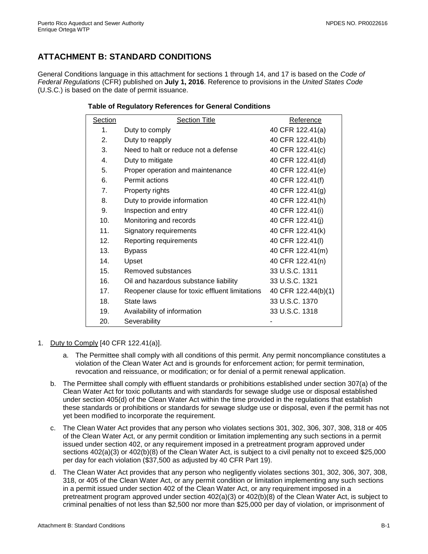# <span id="page-17-0"></span>**ATTACHMENT B: STANDARD CONDITIONS**

General Conditions language in this attachment for sections 1 through 14, and 17 is based on the *Code of Federal Regulations* (CFR) published on **July 1, 2016**. Reference to provisions in the *United States Code* (U.S.C.) is based on the date of permit issuance.

# **Table of Regulatory References for General Conditions**

| Section | <b>Section Title</b>                           | Reference           |
|---------|------------------------------------------------|---------------------|
| 1.      | Duty to comply                                 | 40 CFR 122.41(a)    |
| 2.      | Duty to reapply                                | 40 CFR 122.41(b)    |
| 3.      | Need to halt or reduce not a defense           | 40 CFR 122.41(c)    |
| 4.      | Duty to mitigate                               | 40 CFR 122.41(d)    |
| 5.      | Proper operation and maintenance               | 40 CFR 122.41(e)    |
| 6.      | Permit actions                                 | 40 CFR 122.41(f)    |
| 7.      | Property rights                                | 40 CFR 122.41(g)    |
| 8.      | Duty to provide information                    | 40 CFR 122.41(h)    |
| 9.      | Inspection and entry                           | 40 CFR 122.41(i)    |
| 10.     | Monitoring and records                         | 40 CFR 122.41(j)    |
| 11.     | Signatory requirements                         | 40 CFR 122.41(k)    |
| 12.     | Reporting requirements                         | 40 CFR 122.41(I)    |
| 13.     | <b>Bypass</b>                                  | 40 CFR 122.41(m)    |
| 14.     | Upset                                          | 40 CFR 122.41(n)    |
| 15.     | Removed substances                             | 33 U.S.C. 1311      |
| 16.     | Oil and hazardous substance liability          | 33 U.S.C. 1321      |
| 17.     | Reopener clause for toxic effluent limitations | 40 CFR 122.44(b)(1) |
| 18.     | State laws                                     | 33 U.S.C. 1370      |
| 19.     | Availability of information                    | 33 U.S.C. 1318      |
| 20.     | Severability                                   |                     |

- 1. Duty to Comply [40 CFR 122.41(a)].
	- a. The Permittee shall comply with all conditions of this permit. Any permit noncompliance constitutes a violation of the Clean Water Act and is grounds for enforcement action; for permit termination, revocation and reissuance, or modification; or for denial of a permit renewal application.
	- b. The Permittee shall comply with effluent standards or prohibitions established under section 307(a) of the Clean Water Act for toxic pollutants and with standards for sewage sludge use or disposal established under section 405(d) of the Clean Water Act within the time provided in the regulations that establish these standards or prohibitions or standards for sewage sludge use or disposal, even if the permit has not yet been modified to incorporate the requirement.
	- c. The Clean Water Act provides that any person who violates sections 301, 302, 306, 307, 308, 318 or 405 of the Clean Water Act, or any permit condition or limitation implementing any such sections in a permit issued under section 402, or any requirement imposed in a pretreatment program approved under sections 402(a)(3) or 402(b)(8) of the Clean Water Act, is subject to a civil penalty not to exceed \$25,000 per day for each violation (\$37,500 as adjusted by 40 CFR Part 19).
	- d. The Clean Water Act provides that any person who negligently violates sections 301, 302, 306, 307, 308, 318, or 405 of the Clean Water Act, or any permit condition or limitation implementing any such sections in a permit issued under section 402 of the Clean Water Act, or any requirement imposed in a pretreatment program approved under section 402(a)(3) or 402(b)(8) of the Clean Water Act, is subject to criminal penalties of not less than \$2,500 nor more than \$25,000 per day of violation, or imprisonment of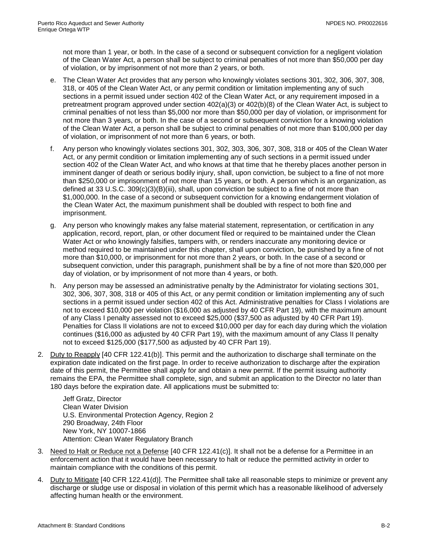not more than 1 year, or both. In the case of a second or subsequent conviction for a negligent violation of the Clean Water Act, a person shall be subject to criminal penalties of not more than \$50,000 per day of violation, or by imprisonment of not more than 2 years, or both.

- e. The Clean Water Act provides that any person who knowingly violates sections 301, 302, 306, 307, 308, 318, or 405 of the Clean Water Act, or any permit condition or limitation implementing any of such sections in a permit issued under section 402 of the Clean Water Act, or any requirement imposed in a pretreatment program approved under section 402(a)(3) or 402(b)(8) of the Clean Water Act, is subject to criminal penalties of not less than \$5,000 nor more than \$50,000 per day of violation, or imprisonment for not more than 3 years, or both. In the case of a second or subsequent conviction for a knowing violation of the Clean Water Act, a person shall be subject to criminal penalties of not more than \$100,000 per day of violation, or imprisonment of not more than 6 years, or both.
- f. Any person who knowingly violates sections 301, 302, 303, 306, 307, 308, 318 or 405 of the Clean Water Act, or any permit condition or limitation implementing any of such sections in a permit issued under section 402 of the Clean Water Act, and who knows at that time that he thereby places another person in imminent danger of death or serious bodily injury, shall, upon conviction, be subject to a fine of not more than \$250,000 or imprisonment of not more than 15 years, or both. A person which is an organization, as defined at 33 U.S.C. 309(c)(3)(B)(iii), shall, upon conviction be subject to a fine of not more than \$1,000,000. In the case of a second or subsequent conviction for a knowing endangerment violation of the Clean Water Act, the maximum punishment shall be doubled with respect to both fine and imprisonment.
- g. Any person who knowingly makes any false material statement, representation, or certification in any application, record, report, plan, or other document filed or required to be maintained under the Clean Water Act or who knowingly falsifies, tampers with, or renders inaccurate any monitoring device or method required to be maintained under this chapter, shall upon conviction, be punished by a fine of not more than \$10,000, or imprisonment for not more than 2 years, or both. In the case of a second or subsequent conviction, under this paragraph, punishment shall be by a fine of not more than \$20,000 per day of violation, or by imprisonment of not more than 4 years, or both.
- h. Any person may be assessed an administrative penalty by the Administrator for violating sections 301, 302, 306, 307, 308, 318 or 405 of this Act, or any permit condition or limitation implementing any of such sections in a permit issued under section 402 of this Act. Administrative penalties for Class I violations are not to exceed \$10,000 per violation (\$16,000 as adjusted by 40 CFR Part 19), with the maximum amount of any Class I penalty assessed not to exceed \$25,000 (\$37,500 as adjusted by 40 CFR Part 19). Penalties for Class II violations are not to exceed \$10,000 per day for each day during which the violation continues (\$16,000 as adjusted by 40 CFR Part 19), with the maximum amount of any Class II penalty not to exceed \$125,000 (\$177,500 as adjusted by 40 CFR Part 19).
- 2. Duty to Reapply [40 CFR 122.41(b)]. This permit and the authorization to discharge shall terminate on the expiration date indicated on the first page. In order to receive authorization to discharge after the expiration date of this permit, the Permittee shall apply for and obtain a new permit. If the permit issuing authority remains the EPA, the Permittee shall complete, sign, and submit an application to the Director no later than 180 days before the expiration date. All applications must be submitted to:

Jeff Gratz, Director Clean Water Division U.S. Environmental Protection Agency, Region 2 290 Broadway, 24th Floor New York, NY 10007-1866 Attention: Clean Water Regulatory Branch

- 3. Need to Halt or Reduce not a Defense [40 CFR 122.41(c)]. It shall not be a defense for a Permittee in an enforcement action that it would have been necessary to halt or reduce the permitted activity in order to maintain compliance with the conditions of this permit.
- 4. Duty to Mitigate [40 CFR 122.41(d)]. The Permittee shall take all reasonable steps to minimize or prevent any discharge or sludge use or disposal in violation of this permit which has a reasonable likelihood of adversely affecting human health or the environment.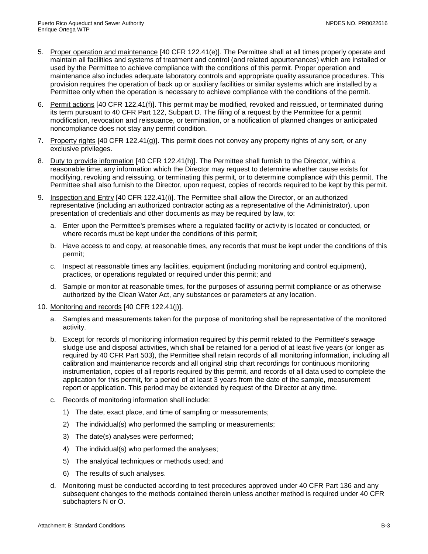- 5. Proper operation and maintenance [40 CFR 122.41(e)]. The Permittee shall at all times properly operate and maintain all facilities and systems of treatment and control (and related appurtenances) which are installed or used by the Permittee to achieve compliance with the conditions of this permit. Proper operation and maintenance also includes adequate laboratory controls and appropriate quality assurance procedures. This provision requires the operation of back up or auxiliary facilities or similar systems which are installed by a Permittee only when the operation is necessary to achieve compliance with the conditions of the permit.
- 6. Permit actions [40 CFR 122.41(f)]. This permit may be modified, revoked and reissued, or terminated during its term pursuant to 40 CFR Part 122, Subpart D. The filing of a request by the Permittee for a permit modification, revocation and reissuance, or termination, or a notification of planned changes or anticipated noncompliance does not stay any permit condition.
- 7. Property rights [40 CFR 122.41(g)]. This permit does not convey any property rights of any sort, or any exclusive privileges.
- 8. Duty to provide information [40 CFR 122.41(h)]. The Permittee shall furnish to the Director, within a reasonable time, any information which the Director may request to determine whether cause exists for modifying, revoking and reissuing, or terminating this permit, or to determine compliance with this permit. The Permittee shall also furnish to the Director, upon request, copies of records required to be kept by this permit.
- 9. Inspection and Entry [40 CFR 122.41(i)]. The Permittee shall allow the Director, or an authorized representative (including an authorized contractor acting as a representative of the Administrator), upon presentation of credentials and other documents as may be required by law, to:
	- a. Enter upon the Permittee's premises where a regulated facility or activity is located or conducted, or where records must be kept under the conditions of this permit;
	- b. Have access to and copy, at reasonable times, any records that must be kept under the conditions of this permit;
	- c. Inspect at reasonable times any facilities, equipment (including monitoring and control equipment), practices, or operations regulated or required under this permit; and
	- d. Sample or monitor at reasonable times, for the purposes of assuring permit compliance or as otherwise authorized by the Clean Water Act, any substances or parameters at any location.
- 10. Monitoring and records [40 CFR 122.41(j)].
	- a. Samples and measurements taken for the purpose of monitoring shall be representative of the monitored activity.
	- b. Except for records of monitoring information required by this permit related to the Permittee's sewage sludge use and disposal activities, which shall be retained for a period of at least five years (or longer as required by 40 CFR Part 503), the Permittee shall retain records of all monitoring information, including all calibration and maintenance records and all original strip chart recordings for continuous monitoring instrumentation, copies of all reports required by this permit, and records of all data used to complete the application for this permit, for a period of at least 3 years from the date of the sample, measurement report or application. This period may be extended by request of the Director at any time.
	- c. Records of monitoring information shall include:
		- 1) The date, exact place, and time of sampling or measurements;
		- 2) The individual(s) who performed the sampling or measurements;
		- 3) The date(s) analyses were performed;
		- 4) The individual(s) who performed the analyses;
		- 5) The analytical techniques or methods used; and
		- 6) The results of such analyses.
	- d. Monitoring must be conducted according to test procedures approved under 40 CFR Part 136 and any subsequent changes to the methods contained therein unless another method is required under 40 CFR subchapters N or O.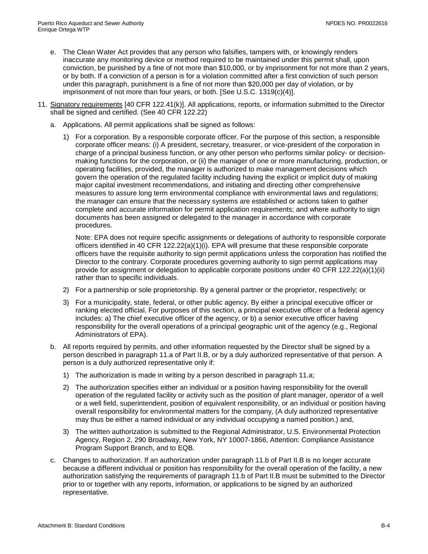- e. The Clean Water Act provides that any person who falsifies, tampers with, or knowingly renders inaccurate any monitoring device or method required to be maintained under this permit shall, upon conviction, be punished by a fine of not more than \$10,000, or by imprisonment for not more than 2 years, or by both. If a conviction of a person is for a violation committed after a first conviction of such person under this paragraph, punishment is a fine of not more than \$20,000 per day of violation, or by imprisonment of not more than four years, or both. [See U.S.C. 1319(c)(4)].
- 11. Signatory requirements [40 CFR 122.41(k)]. All applications, reports, or information submitted to the Director shall be signed and certified. (See 40 CFR 122.22)
	- a. Applications. All permit applications shall be signed as follows:
		- 1) For a corporation. By a responsible corporate officer. For the purpose of this section, a responsible corporate officer means: (i) A president, secretary, treasurer, or vice-president of the corporation in charge of a principal business function, or any other person who performs similar policy- or decisionmaking functions for the corporation, or (ii) the manager of one or more manufacturing, production, or operating facilities, provided, the manager is authorized to make management decisions which govern the operation of the regulated facility including having the explicit or implicit duty of making major capital investment recommendations, and initiating and directing other comprehensive measures to assure long term environmental compliance with environmental laws and regulations; the manager can ensure that the necessary systems are established or actions taken to gather complete and accurate information for permit application requirements; and where authority to sign documents has been assigned or delegated to the manager in accordance with corporate procedures.

Note: EPA does not require specific assignments or delegations of authority to responsible corporate officers identified in 40 CFR 122.22(a)(1)(i). EPA will presume that these responsible corporate officers have the requisite authority to sign permit applications unless the corporation has notified the Director to the contrary. Corporate procedures governing authority to sign permit applications may provide for assignment or delegation to applicable corporate positions under 40 CFR 122.22(a)(1)(ii) rather than to specific individuals.

- 2) For a partnership or sole proprietorship. By a general partner or the proprietor, respectively; or
- 3) For a municipality, state, federal, or other public agency. By either a principal executive officer or ranking elected official. For purposes of this section, a principal executive officer of a federal agency includes: a) The chief executive officer of the agency, or b) a senior executive officer having responsibility for the overall operations of a principal geographic unit of the agency (e.g., Regional Administrators of EPA).
- b. All reports required by permits, and other information requested by the Director shall be signed by a person described in paragraph 11.a of Part II.B, or by a duly authorized representative of that person. A person is a duly authorized representative only if:
	- 1) The authorization is made in writing by a person described in paragraph 11.a;
	- 2) The authorization specifies either an individual or a position having responsibility for the overall operation of the regulated facility or activity such as the position of plant manager, operator of a well or a well field, superintendent, position of equivalent responsibility, or an individual or position having overall responsibility for environmental matters for the company, (A duly authorized representative may thus be either a named individual or any individual occupying a named position.) and,
	- 3) The written authorization is submitted to the Regional Administrator, U.S. Environmental Protection Agency, Region 2, 290 Broadway, New York, NY 10007-1866, Attention: Compliance Assistance Program Support Branch, and to EQB.
- c. Changes to authorization. If an authorization under paragraph 11.b of Part II.B is no longer accurate because a different individual or position has responsibility for the overall operation of the facility, a new authorization satisfying the requirements of paragraph 11.b of Part II.B must be submitted to the Director prior to or together with any reports, information, or applications to be signed by an authorized representative.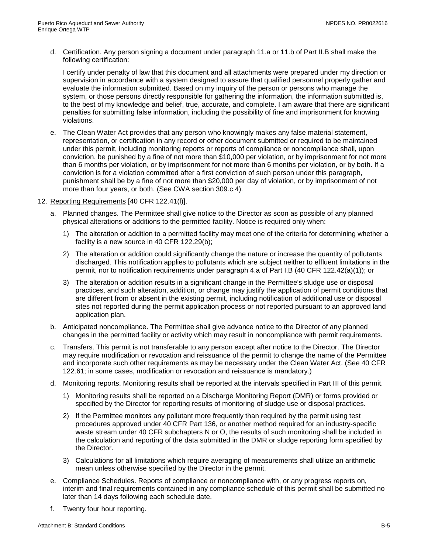d. Certification. Any person signing a document under paragraph 11.a or 11.b of Part II.B shall make the following certification:

I certify under penalty of law that this document and all attachments were prepared under my direction or supervision in accordance with a system designed to assure that qualified personnel properly gather and evaluate the information submitted. Based on my inquiry of the person or persons who manage the system, or those persons directly responsible for gathering the information, the information submitted is, to the best of my knowledge and belief, true, accurate, and complete. I am aware that there are significant penalties for submitting false information, including the possibility of fine and imprisonment for knowing violations.

- e. The Clean Water Act provides that any person who knowingly makes any false material statement, representation, or certification in any record or other document submitted or required to be maintained under this permit, including monitoring reports or reports of compliance or noncompliance shall, upon conviction, be punished by a fine of not more than \$10,000 per violation, or by imprisonment for not more than 6 months per violation, or by imprisonment for not more than 6 months per violation, or by both. If a conviction is for a violation committed after a first conviction of such person under this paragraph, punishment shall be by a fine of not more than \$20,000 per day of violation, or by imprisonment of not more than four years, or both. (See CWA section 309.c.4).
- 12. Reporting Requirements [40 CFR 122.41(l)].
	- a. Planned changes. The Permittee shall give notice to the Director as soon as possible of any planned physical alterations or additions to the permitted facility. Notice is required only when:
		- 1) The alteration or addition to a permitted facility may meet one of the criteria for determining whether a facility is a new source in 40 CFR 122.29(b);
		- 2) The alteration or addition could significantly change the nature or increase the quantity of pollutants discharged. This notification applies to pollutants which are subject neither to effluent limitations in the permit, nor to notification requirements under paragraph 4.a of Part I.B (40 CFR 122.42(a)(1)); or
		- 3) The alteration or addition results in a significant change in the Permittee's sludge use or disposal practices, and such alteration, addition, or change may justify the application of permit conditions that are different from or absent in the existing permit, including notification of additional use or disposal sites not reported during the permit application process or not reported pursuant to an approved land application plan.
	- b. Anticipated noncompliance. The Permittee shall give advance notice to the Director of any planned changes in the permitted facility or activity which may result in noncompliance with permit requirements.
	- c. Transfers. This permit is not transferable to any person except after notice to the Director. The Director may require modification or revocation and reissuance of the permit to change the name of the Permittee and incorporate such other requirements as may be necessary under the Clean Water Act. (See 40 CFR 122.61; in some cases, modification or revocation and reissuance is mandatory.)
	- d. Monitoring reports. Monitoring results shall be reported at the intervals specified in Part III of this permit.
		- 1) Monitoring results shall be reported on a Discharge Monitoring Report (DMR) or forms provided or specified by the Director for reporting results of monitoring of sludge use or disposal practices.
		- 2) If the Permittee monitors any pollutant more frequently than required by the permit using test procedures approved under 40 CFR Part 136, or another method required for an industry-specific waste stream under 40 CFR subchapters N or O, the results of such monitoring shall be included in the calculation and reporting of the data submitted in the DMR or sludge reporting form specified by the Director.
		- 3) Calculations for all limitations which require averaging of measurements shall utilize an arithmetic mean unless otherwise specified by the Director in the permit.
	- e. Compliance Schedules. Reports of compliance or noncompliance with, or any progress reports on, interim and final requirements contained in any compliance schedule of this permit shall be submitted no later than 14 days following each schedule date.
	- f. Twenty four hour reporting.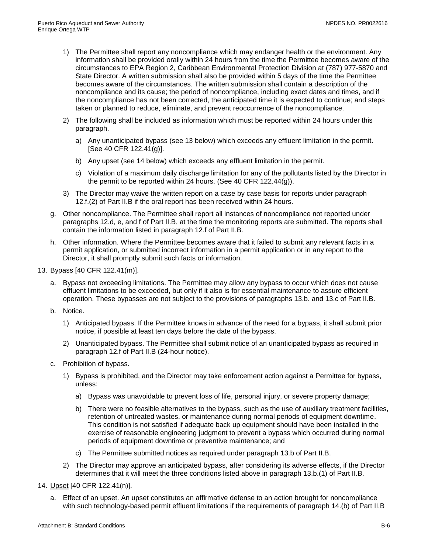- 1) The Permittee shall report any noncompliance which may endanger health or the environment. Any information shall be provided orally within 24 hours from the time the Permittee becomes aware of the circumstances to EPA Region 2, Caribbean Environmental Protection Division at (787) 977-5870 and State Director. A written submission shall also be provided within 5 days of the time the Permittee becomes aware of the circumstances. The written submission shall contain a description of the noncompliance and its cause; the period of noncompliance, including exact dates and times, and if the noncompliance has not been corrected, the anticipated time it is expected to continue; and steps taken or planned to reduce, eliminate, and prevent reoccurrence of the noncompliance.
- 2) The following shall be included as information which must be reported within 24 hours under this paragraph.
	- a) Any unanticipated bypass (see 13 below) which exceeds any effluent limitation in the permit. [See 40 CFR 122.41(g)].
	- b) Any upset (see 14 below) which exceeds any effluent limitation in the permit.
	- c) Violation of a maximum daily discharge limitation for any of the pollutants listed by the Director in the permit to be reported within 24 hours. (See 40 CFR 122.44(g)).
- 3) The Director may waive the written report on a case by case basis for reports under paragraph 12.f.(2) of Part II.B if the oral report has been received within 24 hours.
- g. Other noncompliance. The Permittee shall report all instances of noncompliance not reported under paragraphs 12.d, e, and f of Part II.B, at the time the monitoring reports are submitted. The reports shall contain the information listed in paragraph 12.f of Part II.B.
- h. Other information. Where the Permittee becomes aware that it failed to submit any relevant facts in a permit application, or submitted incorrect information in a permit application or in any report to the Director, it shall promptly submit such facts or information.
- 13. Bypass [40 CFR 122.41(m)].
	- a. Bypass not exceeding limitations. The Permittee may allow any bypass to occur which does not cause effluent limitations to be exceeded, but only if it also is for essential maintenance to assure efficient operation. These bypasses are not subject to the provisions of paragraphs 13.b. and 13.c of Part II.B.
	- b. Notice.
		- 1) Anticipated bypass. If the Permittee knows in advance of the need for a bypass, it shall submit prior notice, if possible at least ten days before the date of the bypass.
		- 2) Unanticipated bypass. The Permittee shall submit notice of an unanticipated bypass as required in paragraph 12.f of Part II.B (24-hour notice).
	- c. Prohibition of bypass.
		- 1) Bypass is prohibited, and the Director may take enforcement action against a Permittee for bypass, unless:
			- a) Bypass was unavoidable to prevent loss of life, personal injury, or severe property damage;
			- b) There were no feasible alternatives to the bypass, such as the use of auxiliary treatment facilities, retention of untreated wastes, or maintenance during normal periods of equipment downtime. This condition is not satisfied if adequate back up equipment should have been installed in the exercise of reasonable engineering judgment to prevent a bypass which occurred during normal periods of equipment downtime or preventive maintenance; and
			- c) The Permittee submitted notices as required under paragraph 13.b of Part II.B.
		- 2) The Director may approve an anticipated bypass, after considering its adverse effects, if the Director determines that it will meet the three conditions listed above in paragraph 13.b.(1) of Part II.B.
- 14. Upset [40 CFR 122.41(n)].
	- a. Effect of an upset. An upset constitutes an affirmative defense to an action brought for noncompliance with such technology-based permit effluent limitations if the requirements of paragraph 14.(b) of Part II.B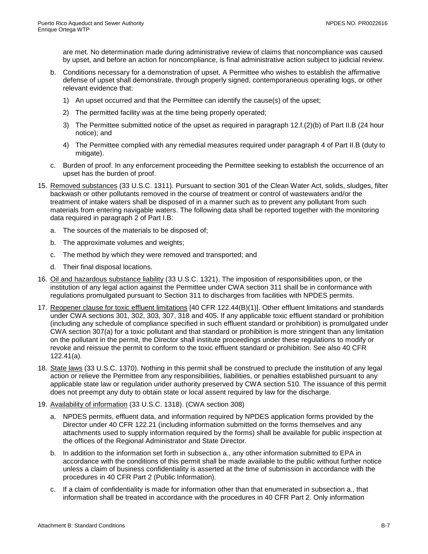are met. No determination made during administrative review of claims that noncompliance was caused by upset, and before an action for noncompliance, is final administrative action subject to judicial review.

- b. Conditions necessary for a demonstration of upset. A Permittee who wishes to establish the affirmative defense of upset shall demonstrate, through properly signed, contemporaneous operating logs, or other relevant evidence that:
	- 1) An upset occurred and that the Permittee can identify the cause(s) of the upset;
	- 2) The permitted facility was at the time being properly operated;
	- 3) The Permittee submitted notice of the upset as required in paragraph 12.f.(2)(b) of Part II.B (24 hour notice); and
	- 4) The Permittee complied with any remedial measures required under paragraph 4 of Part II.B (duty to mitigate).
- c. Burden of proof. In any enforcement proceeding the Permittee seeking to establish the occurrence of an upset has the burden of proof.
- 15. Removed substances (33 U.S.C. 1311). Pursuant to section 301 of the Clean Water Act, solids, sludges, filter backwash or other pollutants removed in the course of treatment or control of wastewaters and/or the treatment of intake waters shall be disposed of in a manner such as to prevent any pollutant from such materials from entering navigable waters. The following data shall be reported together with the monitoring data required in paragraph 2 of Part I.B:
	- a. The sources of the materials to be disposed of;
	- b. The approximate volumes and weights;
	- c. The method by which they were removed and transported; and
	- d. Their final disposal locations.
- 16. Oil and hazardous substance liability (33 U.S.C. 1321). The imposition of responsibilities upon, or the institution of any legal action against the Permittee under CWA section 311 shall be in conformance with regulations promulgated pursuant to Section 311 to discharges from facilities with NPDES permits.
- 17. Reopener clause for toxic effluent limitations [40 CFR 122.44(B)(1)]. Other effluent limitations and standards under CWA sections 301, 302, 303, 307, 318 and 405. If any applicable toxic effluent standard or prohibition (including any schedule of compliance specified in such effluent standard or prohibition) is promulgated under CWA section 307(a) for a toxic pollutant and that standard or prohibition is more stringent than any limitation on the pollutant in the permit, the Director shall institute proceedings under these regulations to modify or revoke and reissue the permit to conform to the toxic effluent standard or prohibition. See also 40 CFR 122.41(a).
- 18. State laws (33 U.S.C. 1370). Nothing in this permit shall be construed to preclude the institution of any legal action or relieve the Permittee from any responsibilities, liabilities, or penalties established pursuant to any applicable state law or regulation under authority preserved by CWA section 510. The issuance of this permit does not preempt any duty to obtain state or local assent required by law for the discharge.
- 19. Availability of information (33 U.S.C. 1318). (CWA section 308)
	- a. NPDES permits, effluent data, and information required by NPDES application forms provided by the Director under 40 CFR 122.21 (including information submitted on the forms themselves and any attachments used to supply information required by the forms) shall be available for public inspection at the offices of the Regional Administrator and State Director.
	- b. In addition to the information set forth in subsection a., any other information submitted to EPA in accordance with the conditions of this permit shall be made available to the public without further notice unless a claim of business confidentiality is asserted at the time of submission in accordance with the procedures in 40 CFR Part 2 (Public Information).
	- c. If a claim of confidentiality is made for information other than that enumerated in subsection a., that information shall be treated in accordance with the procedures in 40 CFR Part 2. Only information